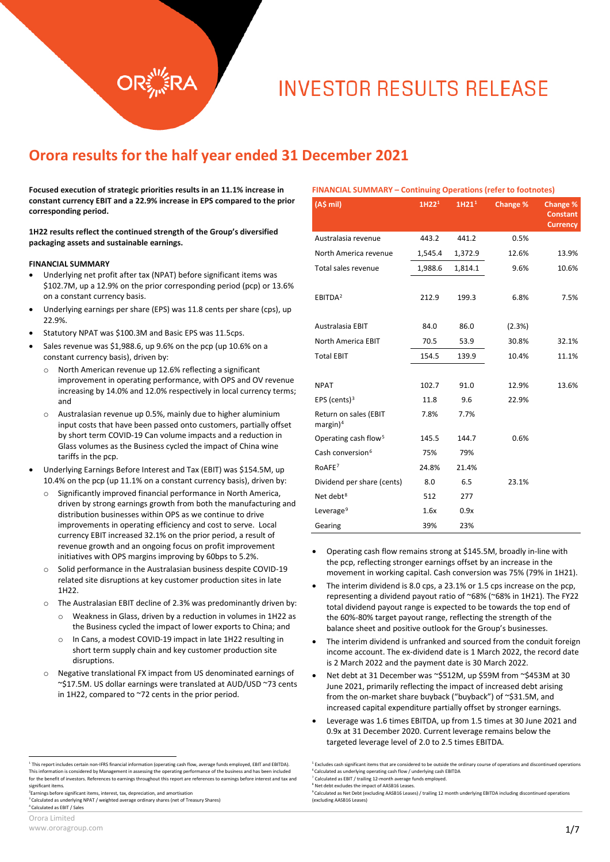# **INVESTOR RESULTS RELEASE**

# **Orora results for the half year ended 31 December 2021**

**Focused execution of strategic priorities results in an 11.1% increase in constant currency EBIT and a 22.9% increase in EPS compared to the prior corresponding period.**

**1H22 results reflect the continued strength of the Group's diversified packaging assets and sustainable earnings.**

#### **FINANCIAL SUMMARY**

- Underlying net profit after tax (NPAT) before significant items was \$102.7M, up a 12.9% on the prior corresponding period (pcp) or 13.6% on a constant currency basis.
- Underlying earnings per share (EPS) was 11.8 cents per share (cps), up 22.9%.
- Statutory NPAT was \$100.3M and Basic EPS was 11.5cps.
- Sales revenue was \$1,988.6, up 9.6% on the pcp (up 10.6% on a constant currency basis), driven by:
	- o North American revenue up 12.6% reflecting a significant improvement in operating performance, with OPS and OV revenue increasing by 14.0% and 12.0% respectively in local currency terms; and
	- o Australasian revenue up 0.5%, mainly due to higher aluminium input costs that have been passed onto customers, partially offset by short term COVID-19 Can volume impacts and a reduction in Glass volumes as the Business cycled the impact of China wine tariffs in the pcp.
- Underlying Earnings Before Interest and Tax (EBIT) was \$154.5M, up 10.4% on the pcp (up 11.1% on a constant currency basis), driven by:
	- Significantly improved financial performance in North America, driven by strong earnings growth from both the manufacturing and distribution businesses within OPS as we continue to drive improvements in operating efficiency and cost to serve. Local currency EBIT increased 32.1% on the prior period, a result of revenue growth and an ongoing focus on profit improvement initiatives with OPS margins improving by 60bps to 5.2%.
	- o Solid performance in the Australasian business despite COVID-19 related site disruptions at key customer production sites in late 1H22.
	- o The Australasian EBIT decline of 2.3% was predominantly driven by:
		- o Weakness in Glass, driven by a reduction in volumes in 1H22 as the Business cycled the impact of lower exports to China; and
		- o In Cans, a modest COVID-19 impact in late 1H22 resulting in short term supply chain and key customer production site disruptions.
	- o Negative translational FX impact from US denominated earnings of ~\$17.5M. US dollar earnings were translated at AUD/USD ~73 cents in 1H22, compared to ~72 cents in the prior period.

<span id="page-0-6"></span><span id="page-0-2"></span><span id="page-0-1"></span>2 Earnings before significant items, interest, tax, depreciation, and amortisation

<span id="page-0-3"></span><sup>3</sup> Calculated as underlying NPAT / weighted average ordinary shares (net of Treasury Shares)<br><sup>4</sup> Calculated as EBIT / Sales

#### **FINANCIAL SUMMARY – Continuing Operations (refer to footnotes)**

| (A\$ mil)                                     | 1H22 <sup>1</sup> | 1H21 <sup>1</sup> | Change % | Change %<br><b>Constant</b><br><b>Currency</b> |
|-----------------------------------------------|-------------------|-------------------|----------|------------------------------------------------|
| Australasia revenue                           | 443.2             | 441.2             | 0.5%     |                                                |
| North America revenue                         | 1,545.4           | 1,372.9           | 12.6%    | 13.9%                                          |
| Total sales revenue                           | 1,988.6           | 1,814.1           | 9.6%     | 10.6%                                          |
| EBITDA <sup>2</sup>                           | 212.9             | 199.3             | 6.8%     | 7.5%                                           |
| Australasia EBIT                              | 84.0              | 86.0              | (2.3%)   |                                                |
| <b>North America EBIT</b>                     | 70.5              | 53.9              | 30.8%    | 32.1%                                          |
| <b>Total EBIT</b>                             | 154.5             | 139.9             | 10.4%    | 11.1%                                          |
|                                               |                   |                   |          |                                                |
| <b>NPAT</b>                                   | 102.7             | 91.0              | 12.9%    | 13.6%                                          |
| EPS (cents) $3$                               | 11.8              | 9.6               | 22.9%    |                                                |
| Return on sales (EBIT<br>margin) <sup>4</sup> | 7.8%              | 7.7%              |          |                                                |
| Operating cash flow <sup>5</sup>              | 145.5             | 144.7             | 0.6%     |                                                |
| Cash conversion <sup>6</sup>                  | 75%               | 79%               |          |                                                |
| RoAFE <sup>7</sup>                            | 24.8%             | 21.4%             |          |                                                |
| Dividend per share (cents)                    | 8.0               | 6.5               | 23.1%    |                                                |
| Net debt <sup>8</sup>                         | 512               | 277               |          |                                                |
| Leverage <sup>9</sup>                         | 1.6x              | 0.9x              |          |                                                |
| Gearing                                       | 39%               | 23%               |          |                                                |

- Operating cash flow remains strong at \$145.5M, broadly in-line with the pcp, reflecting stronger earnings offset by an increase in the movement in working capital. Cash conversion was 75% (79% in 1H21).
- The interim dividend is 8.0 cps, a 23.1% or 1.5 cps increase on the pcp, representing a dividend payout ratio of ~68% (~68% in 1H21). The FY22 total dividend payout range is expected to be towards the top end of the 60%-80% target payout range, reflecting the strength of the balance sheet and positive outlook for the Group's businesses.
- The interim dividend is unfranked and sourced from the conduit foreign income account. The ex-dividend date is 1 March 2022, the record date is 2 March 2022 and the payment date is 30 March 2022.
- Net debt at 31 December was ~\$512M, up \$59M from ~\$453M at 30 June 2021, primarily reflecting the impact of increased debt arising from the on-market share buyback ("buyback") of ~\$31.5M, and increased capital expenditure partially offset by stronger earnings.
- Leverage was 1.6 times EBITDA, up from 1.5 times at 30 June 2021 and 0.9x at 31 December 2020. Current leverage remains below the targeted leverage level of 2.0 to 2.5 times EBITDA.

<sup>7</sup> Calculated as EBIT / trailing 12-month average funds employed. <sup>8</sup> Net debt excludes the impact of AASB16 Leases.

<span id="page-0-5"></span><span id="page-0-4"></span><span id="page-0-0"></span><sup>&</sup>lt;sup>1</sup> This report includes certain non-IFRS financial information (operating cash flow, average funds employed, EBIT and EBITDA). This information is considered by Management in assessing the operating performance of the business and has been included for the benefit of investors. References to earnings throughout this report are references to earnings before interest and tax and significant items.

<sup>&</sup>lt;sup>5</sup> Excludes cash significant items that are considered to be outside the ordinary course of operations and discontinued operations <sup>6</sup> Calculated as underlying operating cash flow / underlying cash EBITDA

<sup>9</sup> Calculated as Net Debt (excluding AASB16 Leases) / trailing 12 month underlying EBITDA including discontinued operations (excluding AASB16 Leases)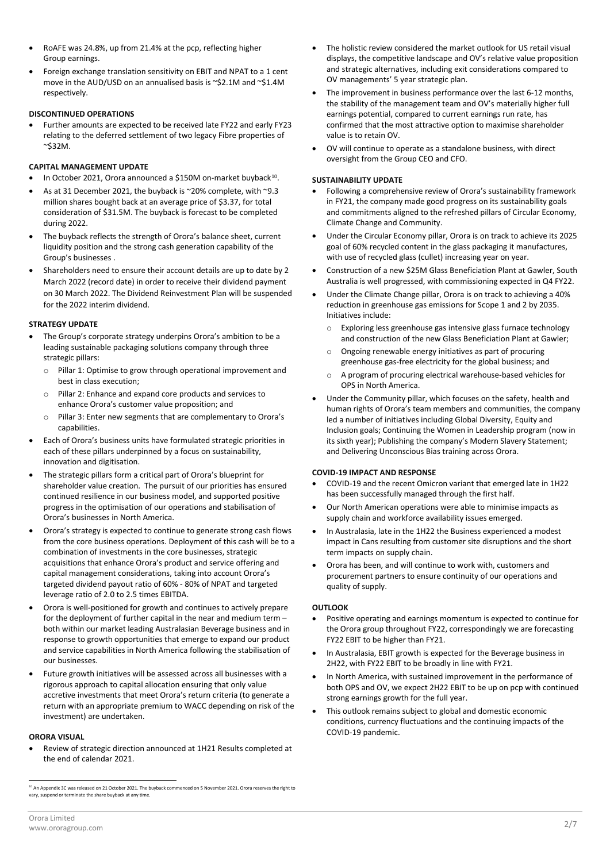- RoAFE was 24.8%, up from 21.4% at the pcp, reflecting higher Group earnings.
- Foreign exchange translation sensitivity on EBIT and NPAT to a 1 cent move in the AUD/USD on an annualised basis is ~\$2.1M and ~\$1.4M respectively.

#### **DISCONTINUED OPERATIONS**

• Further amounts are expected to be received late FY22 and early FY23 relating to the deferred settlement of two legacy Fibre properties of ~\$32M.

#### **CAPITAL MANAGEMENT UPDATE**

- In October 2021, Orora announced a \$150M on-market buyback<sup>10</sup>.
- As at 31 December 2021, the buyback is ~20% complete, with ~9.3 million shares bought back at an average price of \$3.37, for total consideration of \$31.5M. The buyback is forecast to be completed during 2022.
- The buyback reflects the strength of Orora's balance sheet, current liquidity position and the strong cash generation capability of the Group's businesses .
- Shareholders need to ensure their account details are up to date by 2 March 2022 (record date) in order to receive their dividend payment on 30 March 2022. The Dividend Reinvestment Plan will be suspended for the 2022 interim dividend.

#### **STRATEGY UPDATE**

- The Group's corporate strategy underpins Orora's ambition to be a leading sustainable packaging solutions company through three strategic pillars:
	- o Pillar 1: Optimise to grow through operational improvement and best in class execution;
	- o Pillar 2: Enhance and expand core products and services to enhance Orora's customer value proposition; and
	- o Pillar 3: Enter new segments that are complementary to Orora's capabilities.
- Each of Orora's business units have formulated strategic priorities in each of these pillars underpinned by a focus on sustainability, innovation and digitisation.
- The strategic pillars form a critical part of Orora's blueprint for shareholder value creation. The pursuit of our priorities has ensured continued resilience in our business model, and supported positive progress in the optimisation of our operations and stabilisation of Orora's businesses in North America.
- Orora's strategy is expected to continue to generate strong cash flows from the core business operations. Deployment of this cash will be to a combination of investments in the core businesses, strategic acquisitions that enhance Orora's product and service offering and capital management considerations, taking into account Orora's targeted dividend payout ratio of 60% - 80% of NPAT and targeted leverage ratio of 2.0 to 2.5 times EBITDA.
- Orora is well-positioned for growth and continues to actively prepare for the deployment of further capital in the near and medium term – both within our market leading Australasian Beverage business and in response to growth opportunities that emerge to expand our product and service capabilities in North America following the stabilisation of our businesses.
- Future growth initiatives will be assessed across all businesses with a rigorous approach to capital allocation ensuring that only value accretive investments that meet Orora's return criteria (to generate a return with an appropriate premium to WACC depending on risk of the investment) are undertaken.

#### **ORORA VISUAL**

• Review of strategic direction announced at 1H21 Results completed at the end of calendar 2021.

- The holistic review considered the market outlook for US retail visual displays, the competitive landscape and OV's relative value proposition and strategic alternatives, including exit considerations compared to OV managements' 5 year strategic plan.
- The improvement in business performance over the last 6-12 months, the stability of the management team and OV's materially higher full earnings potential, compared to current earnings run rate, has confirmed that the most attractive option to maximise shareholder value is to retain OV.
- OV will continue to operate as a standalone business, with direct oversight from the Group CEO and CFO.

#### **SUSTAINABILITY UPDATE**

- Following a comprehensive review of Orora's sustainability framework in FY21, the company made good progress on its sustainability goals and commitments aligned to the refreshed pillars of Circular Economy, Climate Change and Community.
- Under the Circular Economy pillar, Orora is on track to achieve its 2025 goal of 60% recycled content in the glass packaging it manufactures, with use of recycled glass (cullet) increasing year on year.
- Construction of a new \$25M Glass Beneficiation Plant at Gawler, South Australia is well progressed, with commissioning expected in Q4 FY22.
- Under the Climate Change pillar, Orora is on track to achieving a 40% reduction in greenhouse gas emissions for Scope 1 and 2 by 2035. Initiatives include:
	- o Exploring less greenhouse gas intensive glass furnace technology and construction of the new Glass Beneficiation Plant at Gawler;
	- o Ongoing renewable energy initiatives as part of procuring greenhouse gas-free electricity for the global business; and
	- o A program of procuring electrical warehouse-based vehicles for OPS in North America.
- Under the Community pillar, which focuses on the safety, health and human rights of Orora's team members and communities, the company led a number of initiatives including Global Diversity, Equity and Inclusion goals; Continuing the Women in Leadership program (now in its sixth year); Publishing the company's Modern Slavery Statement; and Delivering Unconscious Bias training across Orora.

#### **COVID-19 IMPACT AND RESPONSE**

- COVID-19 and the recent Omicron variant that emerged late in 1H22 has been successfully managed through the first half.
- Our North American operations were able to minimise impacts as supply chain and workforce availability issues emerged.
- In Australasia, late in the 1H22 the Business experienced a modest impact in Cans resulting from customer site disruptions and the short term impacts on supply chain.
- Orora has been, and will continue to work with, customers and procurement partners to ensure continuity of our operations and quality of supply.

#### **OUTLOOK**

- Positive operating and earnings momentum is expected to continue for the Orora group throughout FY22, correspondingly we are forecasting FY22 EBIT to be higher than FY21.
- In Australasia, EBIT growth is expected for the Beverage business in 2H22, with FY22 EBIT to be broadly in line with FY21.
- In North America, with sustained improvement in the performance of both OPS and OV, we expect 2H22 EBIT to be up on pcp with continued strong earnings growth for the full year.
- This outlook remains subject to global and domestic economic conditions, currency fluctuations and the continuing impacts of the COVID-19 pandemic.

<span id="page-1-0"></span><sup>&</sup>lt;sup>10</sup> An Appendix 3C was released on 21 October 2021. The buyback commenced on 5 November 2021. Orora reserves the right to vary, suspend or terminate the share buyback at any time.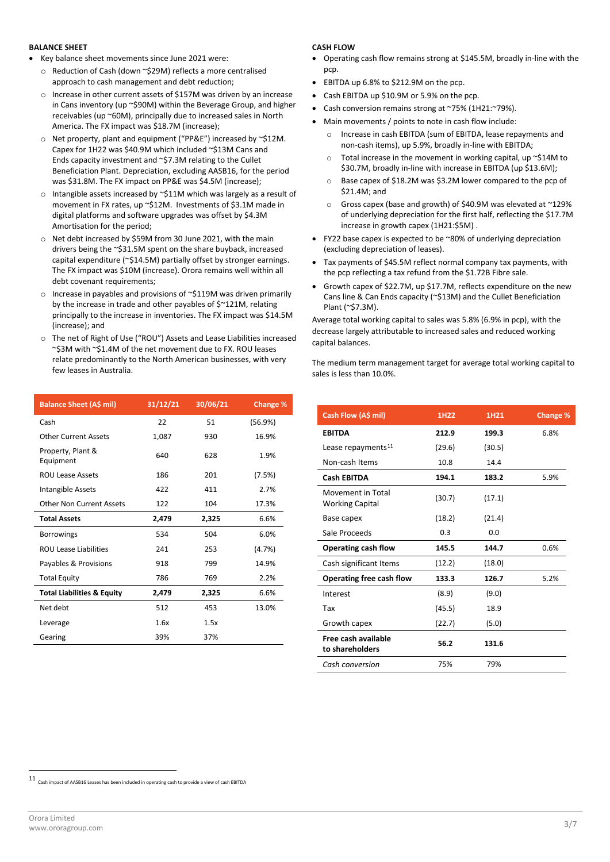#### **BALANCE SHEET**

- Key balance sheet movements since June 2021 were:
	- o Reduction of Cash (down ~\$29M) reflects a more centralised approach to cash management and debt reduction;
	- o Increase in other current assets of \$157M was driven by an increase in Cans inventory (up ~\$90M) within the Beverage Group, and higher receivables (up ~60M), principally due to increased sales in North America. The FX impact was \$18.7M (increase);
	- o Net property, plant and equipment ("PP&E") increased by ~\$12M. Capex for 1H22 was \$40.9M which included ~\$13M Cans and Ends capacity investment and ~\$7.3M relating to the Cullet Beneficiation Plant. Depreciation, excluding AASB16, for the period was \$31.8M. The FX impact on PP&E was \$4.5M (increase);
	- o Intangible assets increased by ~\$11M which was largely as a result of movement in FX rates, up ~\$12M. Investments of \$3.1M made in digital platforms and software upgrades was offset by \$4.3M Amortisation for the period;
	- o Net debt increased by \$59M from 30 June 2021, with the main drivers being the ~\$31.5M spent on the share buyback, increased capital expenditure (~\$14.5M) partially offset by stronger earnings. The FX impact was \$10M (increase). Orora remains well within all debt covenant requirements;
	- $\circ$  Increase in payables and provisions of ~\$119M was driven primarily by the increase in trade and other payables of \$~121M, relating principally to the increase in inventories. The FX impact was \$14.5M (increase); and
	- o The net of Right of Use ("ROU") Assets and Lease Liabilities increased ~\$3M with ~\$1.4M of the net movement due to FX. ROU leases relate predominantly to the North American businesses, with very few leases in Australia.

| <b>Balance Sheet (A\$ mil)</b>        | 31/12/21 | 30/06/21 | <b>Change %</b> |
|---------------------------------------|----------|----------|-----------------|
| Cash                                  | 22       | 51       | (56.9%)         |
| <b>Other Current Assets</b>           | 1,087    | 930      | 16.9%           |
| Property, Plant &<br>Equipment        | 640      | 628      | 1.9%            |
| <b>ROU Lease Assets</b>               | 186      | 201      | (7.5%)          |
| Intangible Assets                     | 422      | 411      | 2.7%            |
| <b>Other Non Current Assets</b>       | 122      | 104      | 17.3%           |
| <b>Total Assets</b>                   | 2,479    | 2,325    | 6.6%            |
| <b>Borrowings</b>                     | 534      | 504      | 6.0%            |
| <b>ROU Lease Liabilities</b>          | 241      | 253      | (4.7%)          |
| Payables & Provisions                 | 918      | 799      | 14.9%           |
| <b>Total Equity</b>                   | 786      | 769      | 2.2%            |
| <b>Total Liabilities &amp; Equity</b> | 2,479    | 2,325    | 6.6%            |
| Net debt                              | 512      | 453      | 13.0%           |
| Leverage                              | 1.6x     | 1.5x     |                 |
| Gearing                               | 39%      | 37%      |                 |

#### **CASH FLOW**

- Operating cash flow remains strong at \$145.5M, broadly in-line with the pcp.
- EBITDA up 6.8% to \$212.9M on the pcp.
- Cash EBITDA up \$10.9M or 5.9% on the pcp.
- Cash conversion remains strong at ~75% (1H21:~79%).
- Main movements / points to note in cash flow include:
	- o Increase in cash EBITDA (sum of EBITDA, lease repayments and non-cash items), up 5.9%, broadly in-line with EBITDA;
	- o Total increase in the movement in working capital, up ~\$14M to \$30.7M, broadly in-line with increase in EBITDA (up \$13.6M);
	- o Base capex of \$18.2M was \$3.2M lower compared to the pcp of \$21.4M; and
	- o Gross capex (base and growth) of \$40.9M was elevated at ~129% of underlying depreciation for the first half, reflecting the \$17.7M increase in growth capex (1H21:\$5M) .
- FY22 base capex is expected to be ~80% of underlying depreciation (excluding depreciation of leases).
- Tax payments of \$45.5M reflect normal company tax payments, with the pcp reflecting a tax refund from the \$1.72B Fibre sale.
- Growth capex of \$22.7M, up \$17.7M, reflects expenditure on the new Cans line & Can Ends capacity (~\$13M) and the Cullet Beneficiation Plant (~\$7.3M).

Average total working capital to sales was 5.8% (6.9% in pcp), with the decrease largely attributable to increased sales and reduced working capital balances.

The medium term management target for average total working capital to sales is less than 10.0%.

| Cash Flow (A\$ mil)                         | 1H <sub>22</sub> | 1H21   | <b>Change %</b> |
|---------------------------------------------|------------------|--------|-----------------|
| <b>EBITDA</b>                               | 212.9            | 199.3  | 6.8%            |
| Lease repayments <sup>11</sup>              | (29.6)           | (30.5) |                 |
| Non-cash Items                              | 10.8             | 14.4   |                 |
| <b>Cash EBITDA</b>                          | 194.1            | 183.2  | 5.9%            |
| Movement in Total<br><b>Working Capital</b> | (30.7)           | (17.1) |                 |
| Base capex                                  | (18.2)           | (21.4) |                 |
| Sale Proceeds                               | 0.3              | 0.0    |                 |
| Operating cash flow                         | 145.5            | 144.7  | 0.6%            |
| Cash significant Items                      | (12.2)           | (18.0) |                 |
| Operating free cash flow                    | 133.3            | 126.7  | 5.2%            |
| Interest                                    | (8.9)            | (9.0)  |                 |
| Tax                                         | (45.5)           | 18.9   |                 |
| Growth capex                                | (22.7)           | (5.0)  |                 |
| Free cash available<br>to shareholders      | 56.2             | 131.6  |                 |
| Cash conversion                             | 75%              | 79%    |                 |

<span id="page-2-0"></span> $11$  Cash impact of AASB16 Leases has been included in operating cash to provide a view of cash EBITDA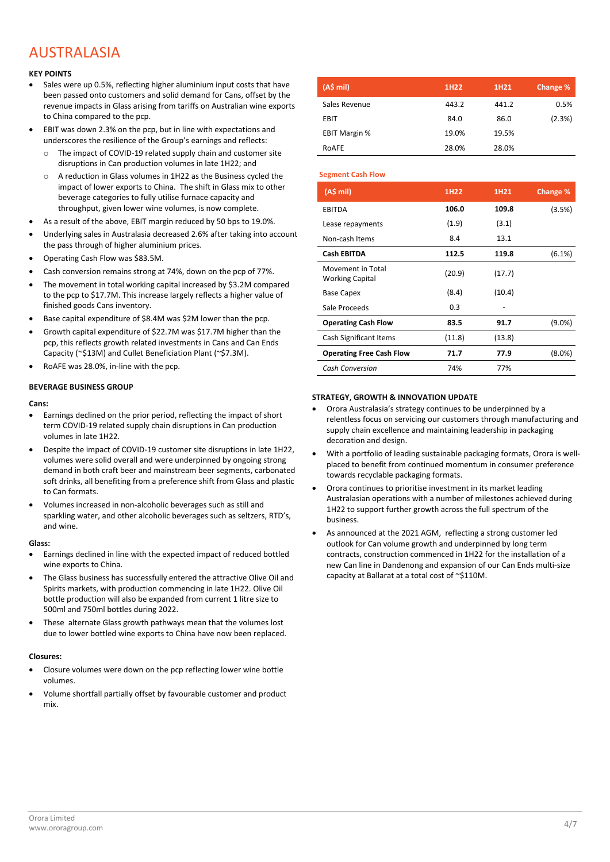# AUSTRALASIA

#### **KEY POINTS**

- Sales were up 0.5%, reflecting higher aluminium input costs that have been passed onto customers and solid demand for Cans, offset by the revenue impacts in Glass arising from tariffs on Australian wine exports to China compared to the pcp.
- EBIT was down 2.3% on the pcp, but in line with expectations and underscores the resilience of the Group's earnings and reflects:
	- o The impact of COVID-19 related supply chain and customer site disruptions in Can production volumes in late 1H22; and
	- o A reduction in Glass volumes in 1H22 as the Business cycled the impact of lower exports to China. The shift in Glass mix to other beverage categories to fully utilise furnace capacity and throughput, given lower wine volumes, is now complete.
- As a result of the above, EBIT margin reduced by 50 bps to 19.0%.
- Underlying sales in Australasia decreased 2.6% after taking into account the pass through of higher aluminium prices.
- Operating Cash Flow was \$83.5M.
- Cash conversion remains strong at 74%, down on the pcp of 77%.
- The movement in total working capital increased by \$3.2M compared to the pcp to \$17.7M. This increase largely reflects a higher value of finished goods Cans inventory.
- Base capital expenditure of \$8.4M was \$2M lower than the pcp.
- Growth capital expenditure of \$22.7M was \$17.7M higher than the pcp, this reflects growth related investments in Cans and Can Ends Capacity (~\$13M) and Cullet Beneficiation Plant (~\$7.3M).
- RoAFE was 28.0%, in-line with the pcp.

#### **BEVERAGE BUSINESS GROUP**

#### **Cans:**

- Earnings declined on the prior period, reflecting the impact of short term COVID-19 related supply chain disruptions in Can production volumes in late 1H22.
- Despite the impact of COVID-19 customer site disruptions in late 1H22, volumes were solid overall and were underpinned by ongoing strong demand in both craft beer and mainstream beer segments, carbonated soft drinks, all benefiting from a preference shift from Glass and plastic to Can formats.
- Volumes increased in non-alcoholic beverages such as still and sparkling water, and other alcoholic beverages such as seltzers, RTD's, and wine.

#### **Glass:**

- Earnings declined in line with the expected impact of reduced bottled wine exports to China.
- The Glass business has successfully entered the attractive Olive Oil and Spirits markets, with production commencing in late 1H22. Olive Oil bottle production will also be expanded from current 1 litre size to 500ml and 750ml bottles during 2022.
- These alternate Glass growth pathways mean that the volumes lost due to lower bottled wine exports to China have now been replaced.

#### **Closures:**

- Closure volumes were down on the pcp reflecting lower wine bottle volumes.
- Volume shortfall partially offset by favourable customer and product mix.

| (A\$ mi)             | 1H <sub>22</sub> | 1H <sub>21</sub> | Change % |
|----------------------|------------------|------------------|----------|
| Sales Revenue        | 443.2            | 441.2            | 0.5%     |
| EBIT                 | 84.0             | 86.0             | (2.3%)   |
| <b>EBIT Margin %</b> | 19.0%            | 19.5%            |          |
| ROAFE                | 28.0%            | 28.0%            |          |

#### **Segment Cash Flow**

| (A\$ mi)                                    | 1H22   | 1H <sub>21</sub> | Change %  |
|---------------------------------------------|--------|------------------|-----------|
| <b>EBITDA</b>                               | 106.0  | 109.8            | (3.5%)    |
| Lease repayments                            | (1.9)  | (3.1)            |           |
| Non-cash Items                              | 8.4    | 13.1             |           |
| <b>Cash EBITDA</b>                          | 112.5  | 119.8            | (6.1%)    |
| Movement in Total<br><b>Working Capital</b> | (20.9) | (17.7)           |           |
| <b>Base Capex</b>                           | (8.4)  | (10.4)           |           |
| Sale Proceeds                               | 0.3    |                  |           |
| <b>Operating Cash Flow</b>                  | 83.5   | 91.7             | (9.0%)    |
| Cash Significant Items                      | (11.8) | (13.8)           |           |
| <b>Operating Free Cash Flow</b>             | 71.7   | 77.9             | $(8.0\%)$ |
| <b>Cash Conversion</b>                      | 74%    | 77%              |           |

#### **STRATEGY, GROWTH & INNOVATION UPDATE**

- Orora Australasia's strategy continues to be underpinned by a relentless focus on servicing our customers through manufacturing and supply chain excellence and maintaining leadership in packaging decoration and design.
- With a portfolio of leading sustainable packaging formats, Orora is wellplaced to benefit from continued momentum in consumer preference towards recyclable packaging formats.
- Orora continues to prioritise investment in its market leading Australasian operations with a number of milestones achieved during 1H22 to support further growth across the full spectrum of the business.
- As announced at the 2021 AGM, reflecting a strong customer led outlook for Can volume growth and underpinned by long term contracts, construction commenced in 1H22 for the installation of a new Can line in Dandenong and expansion of our Can Ends multi-size capacity at Ballarat at a total cost of ~\$110M.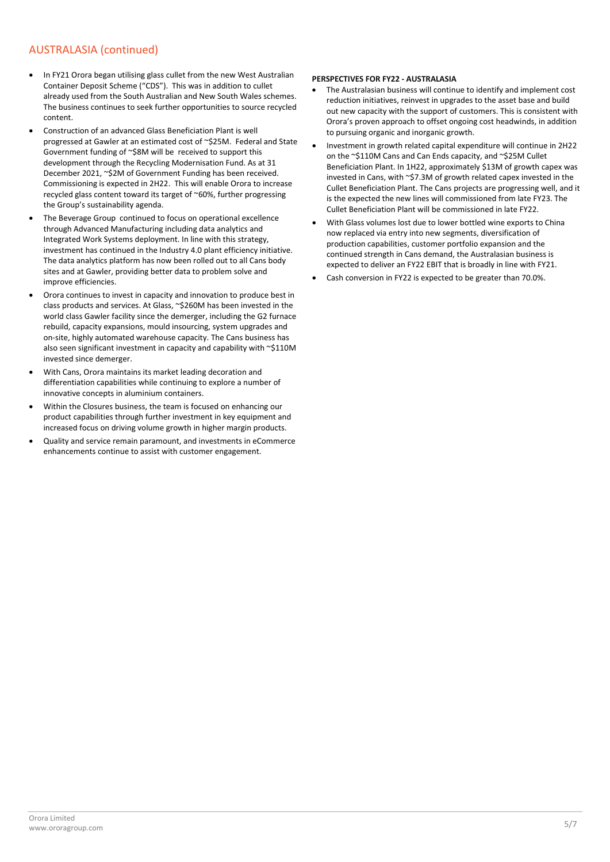#### AUSTRALASIA (continued)

- In FY21 Orora began utilising glass cullet from the new West Australian Container Deposit Scheme ("CDS"). This was in addition to cullet already used from the South Australian and New South Wales schemes. The business continues to seek further opportunities to source recycled content.
- Construction of an advanced Glass Beneficiation Plant is well progressed at Gawler at an estimated cost of ~\$25M. Federal and State Government funding of ~\$8M will be received to support this development through the Recycling Modernisation Fund. As at 31 December 2021, ~\$2M of Government Funding has been received. Commissioning is expected in 2H22. This will enable Orora to increase recycled glass content toward its target of ~60%, further progressing the Group's sustainability agenda.
- The Beverage Group continued to focus on operational excellence through Advanced Manufacturing including data analytics and Integrated Work Systems deployment. In line with this strategy, investment has continued in the Industry 4.0 plant efficiency initiative. The data analytics platform has now been rolled out to all Cans body sites and at Gawler, providing better data to problem solve and improve efficiencies.
- Orora continues to invest in capacity and innovation to produce best in class products and services. At Glass, ~\$260M has been invested in the world class Gawler facility since the demerger, including the G2 furnace rebuild, capacity expansions, mould insourcing, system upgrades and on-site, highly automated warehouse capacity. The Cans business has also seen significant investment in capacity and capability with ~\$110M invested since demerger.
- With Cans, Orora maintains its market leading decoration and differentiation capabilities while continuing to explore a number of innovative concepts in aluminium containers.
- Within the Closures business, the team is focused on enhancing our product capabilities through further investment in key equipment and increased focus on driving volume growth in higher margin products.
- Quality and service remain paramount, and investments in eCommerce enhancements continue to assist with customer engagement.

#### **PERSPECTIVES FOR FY22 - AUSTRALASIA**

- The Australasian business will continue to identify and implement cost reduction initiatives, reinvest in upgrades to the asset base and build out new capacity with the support of customers. This is consistent with Orora's proven approach to offset ongoing cost headwinds, in addition to pursuing organic and inorganic growth.
- Investment in growth related capital expenditure will continue in 2H22 on the ~\$110M Cans and Can Ends capacity, and ~\$25M Cullet Beneficiation Plant. In 1H22, approximately \$13M of growth capex was invested in Cans, with ~\$7.3M of growth related capex invested in the Cullet Beneficiation Plant. The Cans projects are progressing well, and it is the expected the new lines will commissioned from late FY23. The Cullet Beneficiation Plant will be commissioned in late FY22.
- With Glass volumes lost due to lower bottled wine exports to China now replaced via entry into new segments, diversification of production capabilities, customer portfolio expansion and the continued strength in Cans demand, the Australasian business is expected to deliver an FY22 EBIT that is broadly in line with FY21.
- Cash conversion in FY22 is expected to be greater than 70.0%.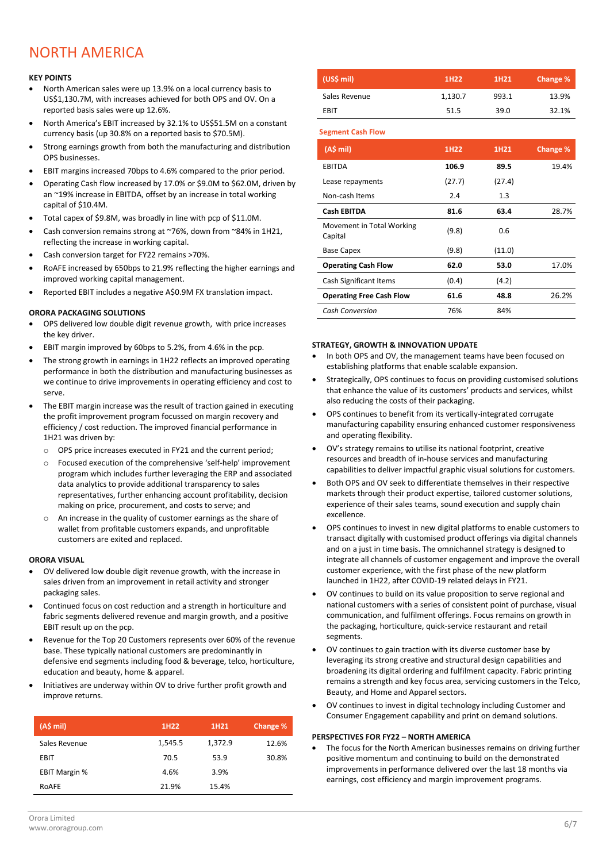# NORTH AMERICA

#### **KEY POINTS**

- North American sales were up 13.9% on a local currency basis to US\$1,130.7M, with increases achieved for both OPS and OV. On a reported basis sales were up 12.6%.
- North America's EBIT increased by 32.1% to US\$51.5M on a constant currency basis (up 30.8% on a reported basis to \$70.5M).
- Strong earnings growth from both the manufacturing and distribution OPS businesses.
- EBIT margins increased 70bps to 4.6% compared to the prior period.
- Operating Cash flow increased by 17.0% or \$9.0M to \$62.0M, driven by an ~19% increase in EBITDA, offset by an increase in total working capital of \$10.4M.
- Total capex of \$9.8M, was broadly in line with pcp of \$11.0M.
- Cash conversion remains strong at ~76%, down from ~84% in 1H21, reflecting the increase in working capital.
- Cash conversion target for FY22 remains >70%.
- RoAFE increased by 650bps to 21.9% reflecting the higher earnings and improved working capital management.
- Reported EBIT includes a negative A\$0.9M FX translation impact.

#### **ORORA PACKAGING SOLUTIONS**

- OPS delivered low double digit revenue growth, with price increases the key driver.
- EBIT margin improved by 60bps to 5.2%, from 4.6% in the pcp.
- The strong growth in earnings in 1H22 reflects an improved operating performance in both the distribution and manufacturing businesses as we continue to drive improvements in operating efficiency and cost to serve.
- The EBIT margin increase was the result of traction gained in executing the profit improvement program focussed on margin recovery and efficiency / cost reduction. The improved financial performance in 1H21 was driven by:
	- o OPS price increases executed in FY21 and the current period;
	- o Focused execution of the comprehensive 'self-help' improvement program which includes further leveraging the ERP and associated data analytics to provide additional transparency to sales representatives, further enhancing account profitability, decision making on price, procurement, and costs to serve; and
	- o An increase in the quality of customer earnings as the share of wallet from profitable customers expands, and unprofitable customers are exited and replaced.

#### **ORORA VISUAL**

- OV delivered low double digit revenue growth, with the increase in sales driven from an improvement in retail activity and stronger packaging sales.
- Continued focus on cost reduction and a strength in horticulture and fabric segments delivered revenue and margin growth, and a positive EBIT result up on the pcp.
- Revenue for the Top 20 Customers represents over 60% of the revenue base. These typically national customers are predominantly in defensive end segments including food & beverage, telco, horticulture, education and beauty, home & apparel.
- Initiatives are underway within OV to drive further profit growth and improve returns.

| (A\$ mi)             | 1H <sub>22</sub> | 1H <sub>21</sub> | Change % |
|----------------------|------------------|------------------|----------|
| Sales Revenue        | 1,545.5          | 1,372.9          | 12.6%    |
| EBIT                 | 70.5             | 53.9             | 30.8%    |
| <b>EBIT Margin %</b> | 4.6%             | 3.9%             |          |
| RoAFE                | 21.9%            | 15.4%            |          |

| (US\$ mi)     | 1H <sub>22</sub> | 1H <sub>21</sub> | Change % |
|---------------|------------------|------------------|----------|
| Sales Revenue | 1,130.7          | 993.1            | 13.9%    |
| EBIT          | 51.5             | 39.0             | 32.1%    |

**Segment Cash Flow**

| (A\$ mi)                             | 1H <sub>22</sub> | 1H21   | Change % |
|--------------------------------------|------------------|--------|----------|
| <b>EBITDA</b>                        | 106.9            | 89.5   | 19.4%    |
| Lease repayments                     | (27.7)           | (27.4) |          |
| Non-cash Items                       | 2.4              | 1.3    |          |
| <b>Cash EBITDA</b>                   | 81.6             | 63.4   | 28.7%    |
| Movement in Total Working<br>Capital | (9.8)            | 0.6    |          |
| <b>Base Capex</b>                    | (9.8)            | (11.0) |          |
| <b>Operating Cash Flow</b>           | 62.0             | 53.0   | 17.0%    |
| Cash Significant Items               | (0.4)            | (4.2)  |          |
| <b>Operating Free Cash Flow</b>      | 61.6             | 48.8   | 26.2%    |
| <b>Cash Conversion</b>               | 76%              | 84%    |          |

#### **STRATEGY, GROWTH & INNOVATION UPDATE**

- In both OPS and OV, the management teams have been focused on establishing platforms that enable scalable expansion.
- Strategically, OPS continues to focus on providing customised solutions that enhance the value of its customers' products and services, whilst also reducing the costs of their packaging.
- OPS continues to benefit from its vertically-integrated corrugate manufacturing capability ensuring enhanced customer responsiveness and operating flexibility.
- OV's strategy remains to utilise its national footprint, creative resources and breadth of in-house services and manufacturing capabilities to deliver impactful graphic visual solutions for customers.
- Both OPS and OV seek to differentiate themselves in their respective markets through their product expertise, tailored customer solutions, experience of their sales teams, sound execution and supply chain excellence.
- OPS continues to invest in new digital platforms to enable customers to transact digitally with customised product offerings via digital channels and on a just in time basis. The omnichannel strategy is designed to integrate all channels of customer engagement and improve the overall customer experience, with the first phase of the new platform launched in 1H22, after COVID-19 related delays in FY21.
- OV continues to build on its value proposition to serve regional and national customers with a series of consistent point of purchase, visual communication, and fulfilment offerings. Focus remains on growth in the packaging, horticulture, quick-service restaurant and retail segments.
- OV continues to gain traction with its diverse customer base by leveraging its strong creative and structural design capabilities and broadening its digital ordering and fulfilment capacity. Fabric printing remains a strength and key focus area, servicing customers in the Telco, Beauty, and Home and Apparel sectors.
- OV continues to invest in digital technology including Customer and Consumer Engagement capability and print on demand solutions.

#### **PERSPECTIVES FOR FY22 – NORTH AMERICA**

• The focus for the North American businesses remains on driving further positive momentum and continuing to build on the demonstrated improvements in performance delivered over the last 18 months via earnings, cost efficiency and margin improvement programs.